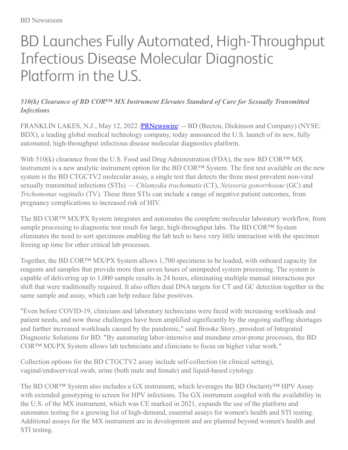## BD Launches Fully Automated, High-Throughput Infectious Disease Molecular Diagnostic Platform in the U.S.

## *510(k) Clearance of BD COR™ MX Instrument Elevates Standard of Care for Sexually Transmitted Infections*

FRANKLIN LAKES, N.J., May 12, 2022 /**PRNewswire** -- BD (Becton, Dickinson and Company) (NYSE: BDX), a leading global medical technology company, today announced the U.S. launch of its new, fully automated, high-throughput infectious disease molecular diagnostics platform.

With 510(k) clearance from the U.S. Food and Drug Administration (FDA), the new BD COR™ MX instrument is a new analytic instrument option for the BD COR™ System. The first test available on the new system is the BD CTGCTV2 molecular assay, a single test that detects the three most prevalent non-viral sexually transmitted infections (STIs) — *Chlamydia trachomatis* (CT), *Neisseria gonorrhoeae* (GC) and *Trichomonas vaginalis* (TV). These three STIs can include a range of negative patient outcomes, from pregnancy complications to increased risk of HIV.

The BD COR™ MX/PX System integrates and automates the complete molecular laboratory workflow, from sample processing to diagnostic test result for large, high-throughput labs. The BD COR<sup>™</sup> System eliminates the need to sort specimens enabling the lab tech to have very little interaction with the specimen freeing up time for other critical lab processes.

Together, the BD COR™ MX/PX System allows 1,700 specimens to be loaded, with onboard capacity for reagents and samples that provide more than seven hours of unimpeded system processing. The system is capable of delivering up to 1,000 sample results in 24 hours, eliminating multiple manual interactions per shift that were traditionally required. It also offers dual DNA targets for CT and GC detection together in the same sample and assay, which can help reduce false positives.

"Even before COVID-19, clinicians and laboratory technicians were faced with increasing workloads and patient needs, and now those challenges have been amplified significantly by the ongoing staffing shortages and further increased workloads caused by the pandemic," said Brooke Story, president of Integrated Diagnostic Solutions for BD. "By automating labor-intensive and mundane error-prone processes, the BD COR™ MX/PX System allows lab technicians and clinicians to focus on higher value work."

Collection options for the BD CTGCTV2 assay include self-collection (in clinical setting), vaginal/endocervical swab, urine (both male and female) and liquid-based cytology.

The BD COR™ System also includes a GX instrument, which leverages the BD Onclarity™ HPV Assay with extended genotyping to screen for HPV infections. The GX instrument coupled with the availability in the U.S. of the MX instrument, which was CE marked in 2021, expands the use of the platform and automates testing for a growing list of high-demand, essential assays for women's health and STI testing. Additional assays for the MX instrument are in development and are planned beyond women's health and STI testing.